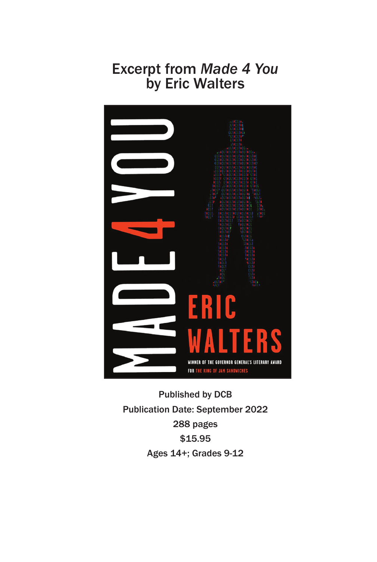## Excerpt from *Made 4 You* by Eric Walters



Published by DCB Publication Date: September 2022 288 pages \$15.95 Ages 14+; Grades 9-12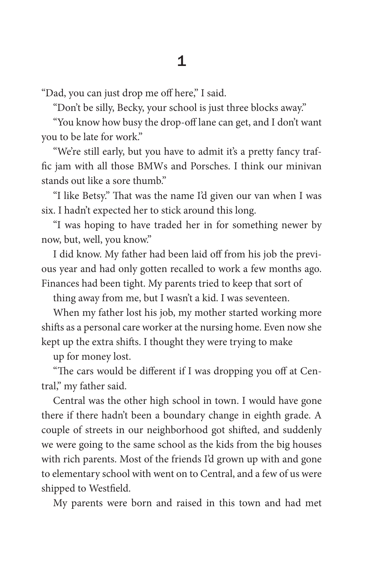"Dad, you can just drop me off here," I said.

"Don't be silly, Becky, your school is just three blocks away."

"You know how busy the drop-off lane can get, and I don't want you to be late for work."

"We're still early, but you have to admit it's a pretty fancy traffic jam with all those BMWs and Porsches. I think our minivan stands out like a sore thumb."

"I like Betsy." That was the name I'd given our van when I was six. I hadn't expected her to stick around this long.

"I was hoping to have traded her in for something newer by now, but, well, you know."

I did know. My father had been laid off from his job the previous year and had only gotten recalled to work a few months ago. Finances had been tight. My parents tried to keep that sort of

thing away from me, but I wasn't a kid. I was seventeen.

When my father lost his job, my mother started working more shifts as a personal care worker at the nursing home. Even now she kept up the extra shifts. I thought they were trying to make

up for money lost.

"The cars would be different if I was dropping you off at Central," my father said.

Central was the other high school in town. I would have gone there if there hadn't been a boundary change in eighth grade. A couple of streets in our neighborhood got shifted, and suddenly we were going to the same school as the kids from the big houses with rich parents. Most of the friends I'd grown up with and gone to elementary school with went on to Central, and a few of us were shipped to Westfield.

My parents were born and raised in this town and had met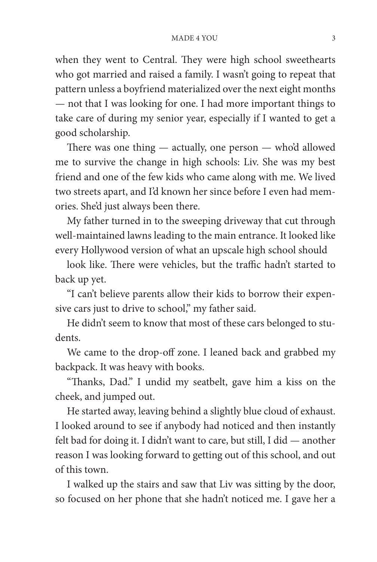when they went to Central. They were high school sweethearts who got married and raised a family. I wasn't going to repeat that pattern unless a boyfriend materialized over the next eight months — not that I was looking for one. I had more important things to take care of during my senior year, especially if I wanted to get a good scholarship.

There was one thing — actually, one person — who'd allowed me to survive the change in high schools: Liv. She was my best friend and one of the few kids who came along with me. We lived two streets apart, and I'd known her since before I even had memories. She'd just always been there.

My father turned in to the sweeping driveway that cut through well-maintained lawns leading to the main entrance. It looked like every Hollywood version of what an upscale high school should

look like. There were vehicles, but the traffic hadn't started to back up yet.

"I can't believe parents allow their kids to borrow their expensive cars just to drive to school," my father said.

He didn't seem to know that most of these cars belonged to students.

We came to the drop-off zone. I leaned back and grabbed my backpack. It was heavy with books.

"Thanks, Dad." I undid my seatbelt, gave him a kiss on the cheek, and jumped out.

He started away, leaving behind a slightly blue cloud of exhaust. I looked around to see if anybody had noticed and then instantly felt bad for doing it. I didn't want to care, but still, I did — another reason I was looking forward to getting out of this school, and out of this town.

I walked up the stairs and saw that Liv was sitting by the door, so focused on her phone that she hadn't noticed me. I gave her a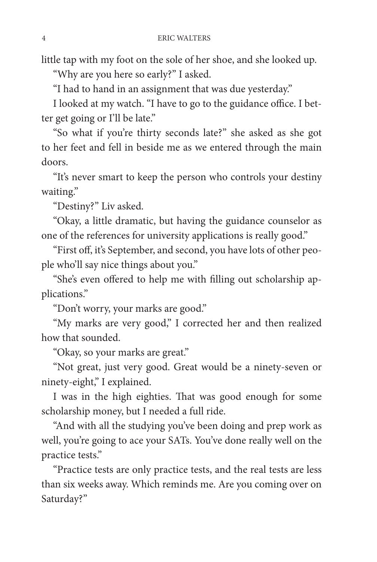little tap with my foot on the sole of her shoe, and she looked up.

"Why are you here so early?" I asked.

"I had to hand in an assignment that was due yesterday."

I looked at my watch. "I have to go to the guidance office. I better get going or I'll be late."

"So what if you're thirty seconds late?" she asked as she got to her feet and fell in beside me as we entered through the main doors.

"It's never smart to keep the person who controls your destiny waiting."

"Destiny?" Liv asked.

"Okay, a little dramatic, but having the guidance counselor as one of the references for university applications is really good."

"First off, it's September, and second, you have lots of other people who'll say nice things about you."

"She's even offered to help me with filling out scholarship applications."

"Don't worry, your marks are good."

"My marks are very good," I corrected her and then realized how that sounded.

"Okay, so your marks are great."

"Not great, just very good. Great would be a ninety-seven or ninety-eight," I explained.

I was in the high eighties. That was good enough for some scholarship money, but I needed a full ride.

"And with all the studying you've been doing and prep work as well, you're going to ace your SATs. You've done really well on the practice tests."

"Practice tests are only practice tests, and the real tests are less than six weeks away. Which reminds me. Are you coming over on Saturday?"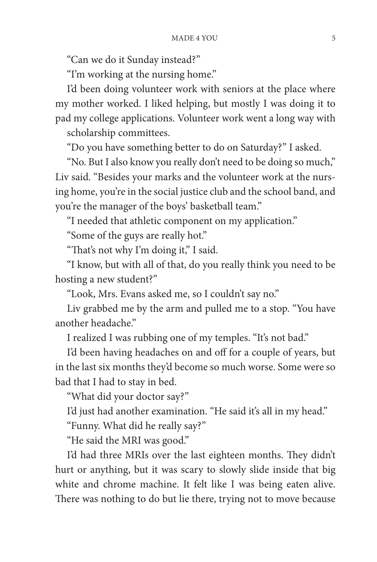"Can we do it Sunday instead?"

"I'm working at the nursing home."

I'd been doing volunteer work with seniors at the place where my mother worked. I liked helping, but mostly I was doing it to pad my college applications. Volunteer work went a long way with scholarship committees.

"Do you have something better to do on Saturday?" I asked.

"No. But I also know you really don't need to be doing so much," Liv said. "Besides your marks and the volunteer work at the nursing home, you're in the social justice club and the school band, and you're the manager of the boys' basketball team."

"I needed that athletic component on my application."

"Some of the guys are really hot."

"That's not why I'm doing it," I said.

"I know, but with all of that, do you really think you need to be hosting a new student?"

"Look, Mrs. Evans asked me, so I couldn't say no."

Liv grabbed me by the arm and pulled me to a stop. "You have another headache."

I realized I was rubbing one of my temples. "It's not bad."

I'd been having headaches on and off for a couple of years, but in the last six months they'd become so much worse. Some were so bad that I had to stay in bed.

"What did your doctor say?"

I'd just had another examination. "He said it's all in my head."

"Funny. What did he really say?"

"He said the MRI was good."

I'd had three MRIs over the last eighteen months. They didn't hurt or anything, but it was scary to slowly slide inside that big white and chrome machine. It felt like I was being eaten alive. There was nothing to do but lie there, trying not to move because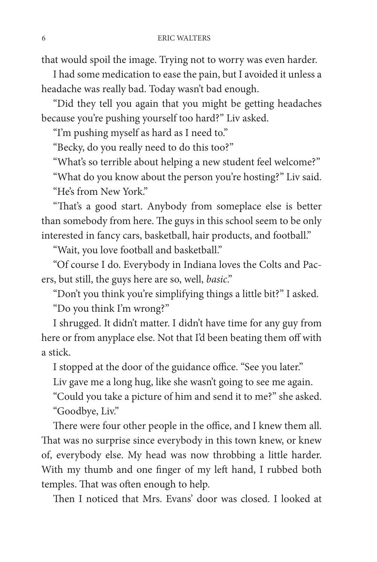that would spoil the image. Trying not to worry was even harder.

I had some medication to ease the pain, but I avoided it unless a headache was really bad. Today wasn't bad enough.

"Did they tell you again that you might be getting headaches because you're pushing yourself too hard?" Liv asked.

"I'm pushing myself as hard as I need to."

"Becky, do you really need to do this too?"

"What's so terrible about helping a new student feel welcome?"

"What do you know about the person you're hosting?" Liv said. "He's from New York."

"That's a good start. Anybody from someplace else is better than somebody from here. The guys in this school seem to be only interested in fancy cars, basketball, hair products, and football."

"Wait, you love football and basketball."

"Of course I do. Everybody in Indiana loves the Colts and Pacers, but still, the guys here are so, well, *basic*."

"Don't you think you're simplifying things a little bit?" I asked. "Do you think I'm wrong?"

I shrugged. It didn't matter. I didn't have time for any guy from here or from anyplace else. Not that I'd been beating them off with a stick.

I stopped at the door of the guidance office. "See you later."

Liv gave me a long hug, like she wasn't going to see me again.

"Could you take a picture of him and send it to me?" she asked. "Goodbye, Liv."

There were four other people in the office, and I knew them all. That was no surprise since everybody in this town knew, or knew of, everybody else. My head was now throbbing a little harder. With my thumb and one finger of my left hand, I rubbed both temples. That was often enough to help.

Then I noticed that Mrs. Evans' door was closed. I looked at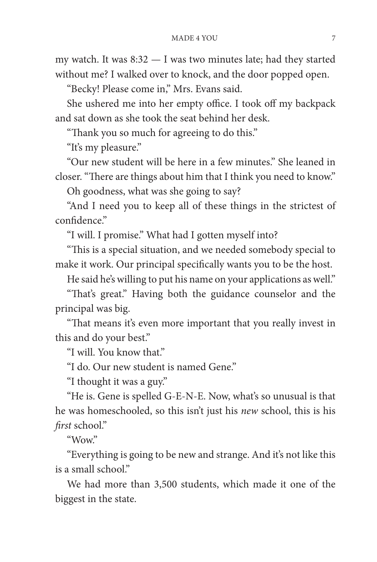my watch. It was 8:32 — I was two minutes late; had they started without me? I walked over to knock, and the door popped open.

"Becky! Please come in," Mrs. Evans said.

She ushered me into her empty office. I took off my backpack and sat down as she took the seat behind her desk.

"Thank you so much for agreeing to do this."

"It's my pleasure."

"Our new student will be here in a few minutes." She leaned in closer. "There are things about him that I think you need to know."

Oh goodness, what was she going to say?

"And I need you to keep all of these things in the strictest of confidence."

"I will. I promise." What had I gotten myself into?

"This is a special situation, and we needed somebody special to make it work. Our principal specifically wants you to be the host.

He said he's willing to put his name on your applications as well."

"That's great." Having both the guidance counselor and the principal was big.

"That means it's even more important that you really invest in this and do your best."

"I will. You know that."

"I do. Our new student is named Gene."

"I thought it was a guy."

"He is. Gene is spelled G-E-N-E. Now, what's so unusual is that he was homeschooled, so this isn't just his *new* school, this is his *first* school."

"Wow."

"Everything is going to be new and strange. And it's not like this is a small school."

We had more than 3,500 students, which made it one of the biggest in the state.